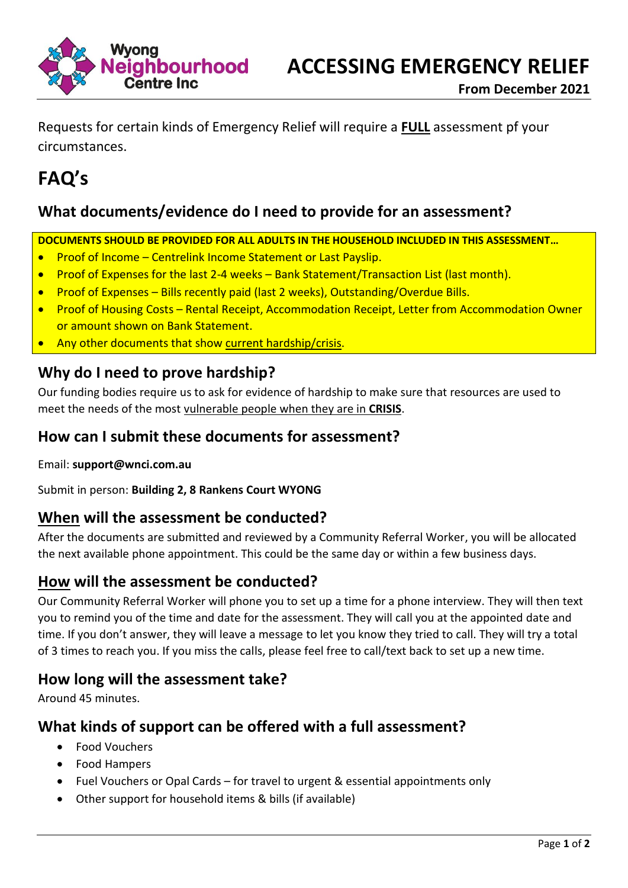

Requests for certain kinds of Emergency Relief will require a **FULL** assessment pf your circumstances.

# **FAQ's**

## **What documents/evidence do I need to provide for an assessment?**

**DOCUMENTS SHOULD BE PROVIDED FOR ALL ADULTS IN THE HOUSEHOLD INCLUDED IN THIS ASSESSMENT…**

- Proof of Income Centrelink Income Statement or Last Payslip.
- Proof of Expenses for the last 2-4 weeks Bank Statement/Transaction List (last month).
- Proof of Expenses Bills recently paid (last 2 weeks), Outstanding/Overdue Bills.
- Proof of Housing Costs Rental Receipt, Accommodation Receipt, Letter from Accommodation Owner or amount shown on Bank Statement.
- Any other documents that show current hardship/crisis.

## **Why do I need to prove hardship?**

Our funding bodies require us to ask for evidence of hardship to make sure that resources are used to meet the needs of the most vulnerable people when they are in **CRISIS**.

### **How can I submit these documents for assessment?**

Email: **support@wnci.com.au**

Submit in person: **Building 2, 8 Rankens Court WYONG**

### **When will the assessment be conducted?**

After the documents are submitted and reviewed by a Community Referral Worker, you will be allocated the next available phone appointment. This could be the same day or within a few business days.

### **How will the assessment be conducted?**

Our Community Referral Worker will phone you to set up a time for a phone interview. They will then text you to remind you of the time and date for the assessment. They will call you at the appointed date and time. If you don't answer, they will leave a message to let you know they tried to call. They will try a total of 3 times to reach you. If you miss the calls, please feel free to call/text back to set up a new time.

### **How long will the assessment take?**

Around 45 minutes.

### **What kinds of support can be offered with a full assessment?**

- Food Vouchers
- Food Hampers
- Fuel Vouchers or Opal Cards for travel to urgent & essential appointments only
- Other support for household items & bills (if available)